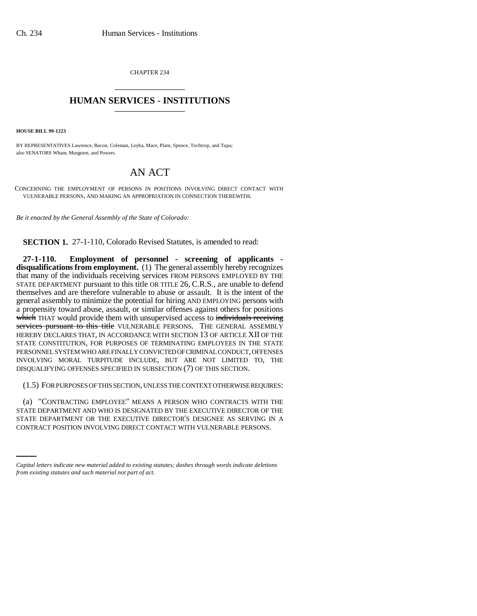CHAPTER 234 \_\_\_\_\_\_\_\_\_\_\_\_\_\_\_

## **HUMAN SERVICES - INSTITUTIONS** \_\_\_\_\_\_\_\_\_\_\_\_\_\_\_

**HOUSE BILL 99-1223**

BY REPRESENTATIVES Lawrence, Bacon, Coleman, Leyba, Mace, Plant, Spence, Tochtrop, and Tupa; also SENATORS Wham, Musgrave, and Powers.

## AN ACT

CONCERNING THE EMPLOYMENT OF PERSONS IN POSITIONS INVOLVING DIRECT CONTACT WITH VULNERABLE PERSONS, AND MAKING AN APPROPRIATION IN CONNECTION THEREWITH.

*Be it enacted by the General Assembly of the State of Colorado:*

**SECTION 1.** 27-1-110, Colorado Revised Statutes, is amended to read:

**27-1-110. Employment of personnel - screening of applicants disqualifications from employment.** (1) The general assembly hereby recognizes that many of the individuals receiving services FROM PERSONS EMPLOYED BY THE STATE DEPARTMENT pursuant to this title OR TITLE 26, C.R.S., are unable to defend themselves and are therefore vulnerable to abuse or assault. It is the intent of the general assembly to minimize the potential for hiring AND EMPLOYING persons with a propensity toward abuse, assault, or similar offenses against others for positions which THAT would provide them with unsupervised access to individuals receiving services pursuant to this title VULNERABLE PERSONS. THE GENERAL ASSEMBLY HEREBY DECLARES THAT, IN ACCORDANCE WITH SECTION 13 OF ARTICLE XII OF THE STATE CONSTITUTION, FOR PURPOSES OF TERMINATING EMPLOYEES IN THE STATE PERSONNEL SYSTEM WHO ARE FINALLY CONVICTED OF CRIMINAL CONDUCT, OFFENSES INVOLVING MORAL TURPITUDE INCLUDE, BUT ARE NOT LIMITED TO, THE DISQUALIFYING OFFENSES SPECIFIED IN SUBSECTION (7) OF THIS SECTION.

(1.5) FOR PURPOSES OF THIS SECTION, UNLESS THE CONTEXT OTHERWISE REQUIRES:

STATE DEPARTMENT OR THE EXECUTIVE DIRECTOR'S DESIGNEE AS SERVING IN A (a) "CONTRACTING EMPLOYEE" MEANS A PERSON WHO CONTRACTS WITH THE STATE DEPARTMENT AND WHO IS DESIGNATED BY THE EXECUTIVE DIRECTOR OF THE CONTRACT POSITION INVOLVING DIRECT CONTACT WITH VULNERABLE PERSONS.

*Capital letters indicate new material added to existing statutes; dashes through words indicate deletions from existing statutes and such material not part of act.*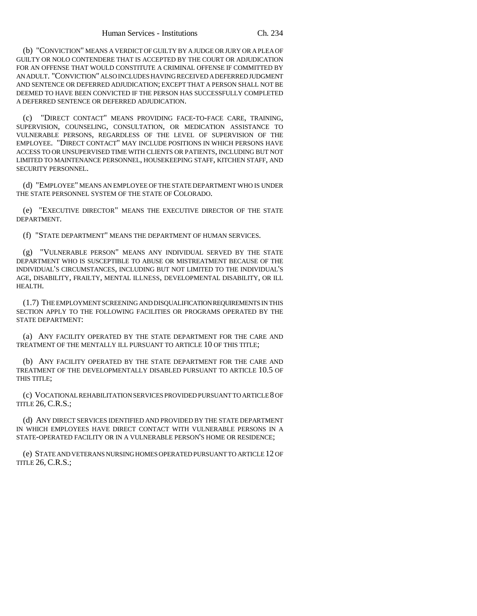(b) "CONVICTION" MEANS A VERDICT OF GUILTY BY A JUDGE OR JURY OR A PLEA OF GUILTY OR NOLO CONTENDERE THAT IS ACCEPTED BY THE COURT OR ADJUDICATION FOR AN OFFENSE THAT WOULD CONSTITUTE A CRIMINAL OFFENSE IF COMMITTED BY AN ADULT. "CONVICTION" ALSO INCLUDES HAVING RECEIVED A DEFERRED JUDGMENT AND SENTENCE OR DEFERRED ADJUDICATION; EXCEPT THAT A PERSON SHALL NOT BE DEEMED TO HAVE BEEN CONVICTED IF THE PERSON HAS SUCCESSFULLY COMPLETED A DEFERRED SENTENCE OR DEFERRED ADJUDICATION.

(c) "DIRECT CONTACT" MEANS PROVIDING FACE-TO-FACE CARE, TRAINING, SUPERVISION, COUNSELING, CONSULTATION, OR MEDICATION ASSISTANCE TO VULNERABLE PERSONS, REGARDLESS OF THE LEVEL OF SUPERVISION OF THE EMPLOYEE. "DIRECT CONTACT" MAY INCLUDE POSITIONS IN WHICH PERSONS HAVE ACCESS TO OR UNSUPERVISED TIME WITH CLIENTS OR PATIENTS, INCLUDING BUT NOT LIMITED TO MAINTENANCE PERSONNEL, HOUSEKEEPING STAFF, KITCHEN STAFF, AND SECURITY PERSONNEL.

(d) "EMPLOYEE" MEANS AN EMPLOYEE OF THE STATE DEPARTMENT WHO IS UNDER THE STATE PERSONNEL SYSTEM OF THE STATE OF COLORADO.

(e) "EXECUTIVE DIRECTOR" MEANS THE EXECUTIVE DIRECTOR OF THE STATE DEPARTMENT.

(f) "STATE DEPARTMENT" MEANS THE DEPARTMENT OF HUMAN SERVICES.

"VULNERABLE PERSON" MEANS ANY INDIVIDUAL SERVED BY THE STATE DEPARTMENT WHO IS SUSCEPTIBLE TO ABUSE OR MISTREATMENT BECAUSE OF THE INDIVIDUAL'S CIRCUMSTANCES, INCLUDING BUT NOT LIMITED TO THE INDIVIDUAL'S AGE, DISABILITY, FRAILTY, MENTAL ILLNESS, DEVELOPMENTAL DISABILITY, OR ILL HEALTH.

(1.7) THE EMPLOYMENT SCREENING AND DISQUALIFICATION REQUIREMENTS IN THIS SECTION APPLY TO THE FOLLOWING FACILITIES OR PROGRAMS OPERATED BY THE STATE DEPARTMENT:

(a) ANY FACILITY OPERATED BY THE STATE DEPARTMENT FOR THE CARE AND TREATMENT OF THE MENTALLY ILL PURSUANT TO ARTICLE 10 OF THIS TITLE;

(b) ANY FACILITY OPERATED BY THE STATE DEPARTMENT FOR THE CARE AND TREATMENT OF THE DEVELOPMENTALLY DISABLED PURSUANT TO ARTICLE 10.5 OF THIS TITLE;

(c) VOCATIONAL REHABILITATION SERVICES PROVIDED PURSUANT TO ARTICLE 8 OF TITLE 26, C.R.S.;

(d) ANY DIRECT SERVICES IDENTIFIED AND PROVIDED BY THE STATE DEPARTMENT IN WHICH EMPLOYEES HAVE DIRECT CONTACT WITH VULNERABLE PERSONS IN A STATE-OPERATED FACILITY OR IN A VULNERABLE PERSON'S HOME OR RESIDENCE;

(e) STATE AND VETERANS NURSING HOMES OPERATED PURSUANT TO ARTICLE 12 OF TITLE 26, C.R.S.;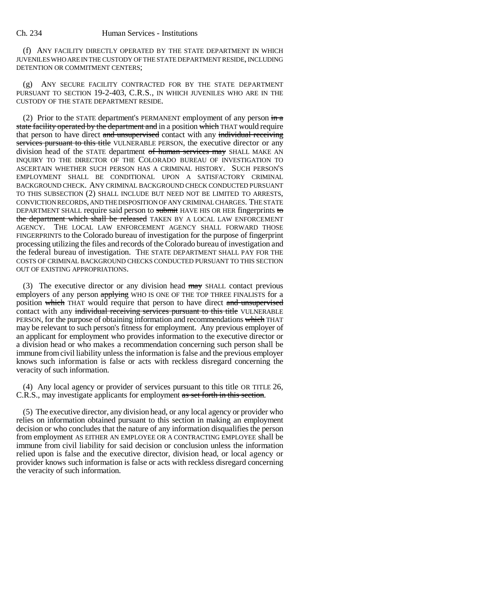(f) ANY FACILITY DIRECTLY OPERATED BY THE STATE DEPARTMENT IN WHICH JUVENILES WHO ARE IN THE CUSTODY OF THE STATE DEPARTMENT RESIDE, INCLUDING DETENTION OR COMMITMENT CENTERS;

(g) ANY SECURE FACILITY CONTRACTED FOR BY THE STATE DEPARTMENT PURSUANT TO SECTION 19-2-403, C.R.S., IN WHICH JUVENILES WHO ARE IN THE CUSTODY OF THE STATE DEPARTMENT RESIDE.

(2) Prior to the STATE department's PERMANENT employment of any person  $\frac{\text{if}}{\text{if}}$ state facility operated by the department and in a position which THAT would require that person to have direct and unsupervised contact with any individual receiving services pursuant to this title VULNERABLE PERSON, the executive director or any division head of the STATE department of human services may SHALL MAKE AN INQUIRY TO THE DIRECTOR OF THE COLORADO BUREAU OF INVESTIGATION TO ASCERTAIN WHETHER SUCH PERSON HAS A CRIMINAL HISTORY. SUCH PERSON'S EMPLOYMENT SHALL BE CONDITIONAL UPON A SATISFACTORY CRIMINAL BACKGROUND CHECK. ANY CRIMINAL BACKGROUND CHECK CONDUCTED PURSUANT TO THIS SUBSECTION (2) SHALL INCLUDE BUT NEED NOT BE LIMITED TO ARRESTS, CONVICTION RECORDS, AND THE DISPOSITION OF ANY CRIMINAL CHARGES. THE STATE DEPARTMENT SHALL require said person to submit HAVE HIS OR HER fingerprints to the department which shall be released TAKEN BY A LOCAL LAW ENFORCEMENT AGENCY. THE LOCAL LAW ENFORCEMENT AGENCY SHALL FORWARD THOSE FINGERPRINTS to the Colorado bureau of investigation for the purpose of fingerprint processing utilizing the files and records of the Colorado bureau of investigation and the federal bureau of investigation. THE STATE DEPARTMENT SHALL PAY FOR THE COSTS OF CRIMINAL BACKGROUND CHECKS CONDUCTED PURSUANT TO THIS SECTION OUT OF EXISTING APPROPRIATIONS.

(3) The executive director or any division head may SHALL contact previous employers of any person applying WHO IS ONE OF THE TOP THREE FINALISTS for a position which THAT would require that person to have direct and unsupervised contact with any individual receiving services pursuant to this title VULNERABLE PERSON, for the purpose of obtaining information and recommendations which THAT may be relevant to such person's fitness for employment. Any previous employer of an applicant for employment who provides information to the executive director or a division head or who makes a recommendation concerning such person shall be immune from civil liability unless the information is false and the previous employer knows such information is false or acts with reckless disregard concerning the veracity of such information.

(4) Any local agency or provider of services pursuant to this title OR TITLE 26, C.R.S., may investigate applicants for employment as set forth in this section.

(5) The executive director, any division head, or any local agency or provider who relies on information obtained pursuant to this section in making an employment decision or who concludes that the nature of any information disqualifies the person from employment AS EITHER AN EMPLOYEE OR A CONTRACTING EMPLOYEE shall be immune from civil liability for said decision or conclusion unless the information relied upon is false and the executive director, division head, or local agency or provider knows such information is false or acts with reckless disregard concerning the veracity of such information.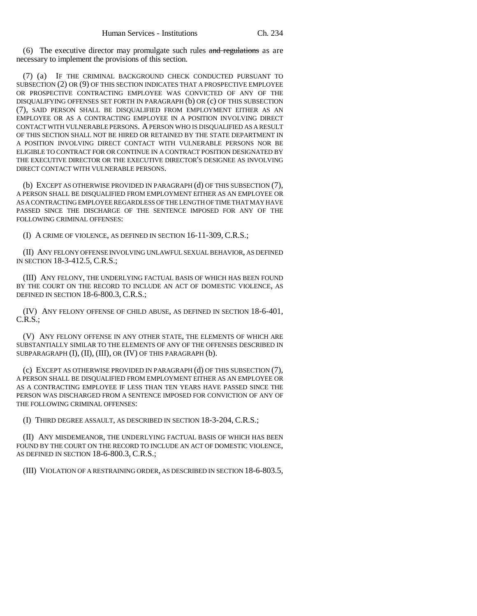(6) The executive director may promulgate such rules  $\frac{1}{2}$  and regulations as are necessary to implement the provisions of this section.

(7) (a) IF THE CRIMINAL BACKGROUND CHECK CONDUCTED PURSUANT TO SUBSECTION (2) OR (9) OF THIS SECTION INDICATES THAT A PROSPECTIVE EMPLOYEE OR PROSPECTIVE CONTRACTING EMPLOYEE WAS CONVICTED OF ANY OF THE DISQUALIFYING OFFENSES SET FORTH IN PARAGRAPH (b) OR (c) OF THIS SUBSECTION (7), SAID PERSON SHALL BE DISQUALIFIED FROM EMPLOYMENT EITHER AS AN EMPLOYEE OR AS A CONTRACTING EMPLOYEE IN A POSITION INVOLVING DIRECT CONTACT WITH VULNERABLE PERSONS. A PERSON WHO IS DISQUALIFIED AS A RESULT OF THIS SECTION SHALL NOT BE HIRED OR RETAINED BY THE STATE DEPARTMENT IN A POSITION INVOLVING DIRECT CONTACT WITH VULNERABLE PERSONS NOR BE ELIGIBLE TO CONTRACT FOR OR CONTINUE IN A CONTRACT POSITION DESIGNATED BY THE EXECUTIVE DIRECTOR OR THE EXECUTIVE DIRECTOR'S DESIGNEE AS INVOLVING DIRECT CONTACT WITH VULNERABLE PERSONS.

(b) EXCEPT AS OTHERWISE PROVIDED IN PARAGRAPH (d) OF THIS SUBSECTION (7), A PERSON SHALL BE DISQUALIFIED FROM EMPLOYMENT EITHER AS AN EMPLOYEE OR AS A CONTRACTING EMPLOYEE REGARDLESS OF THE LENGTH OF TIME THAT MAY HAVE PASSED SINCE THE DISCHARGE OF THE SENTENCE IMPOSED FOR ANY OF THE FOLLOWING CRIMINAL OFFENSES:

(I) A CRIME OF VIOLENCE, AS DEFINED IN SECTION 16-11-309, C.R.S.;

(II) ANY FELONY OFFENSE INVOLVING UNLAWFUL SEXUAL BEHAVIOR, AS DEFINED IN SECTION 18-3-412.5, C.R.S.;

(III) ANY FELONY, THE UNDERLYING FACTUAL BASIS OF WHICH HAS BEEN FOUND BY THE COURT ON THE RECORD TO INCLUDE AN ACT OF DOMESTIC VIOLENCE, AS DEFINED IN SECTION 18-6-800.3, C.R.S.;

(IV) ANY FELONY OFFENSE OF CHILD ABUSE, AS DEFINED IN SECTION 18-6-401,  $C.R.S.:$ 

(V) ANY FELONY OFFENSE IN ANY OTHER STATE, THE ELEMENTS OF WHICH ARE SUBSTANTIALLY SIMILAR TO THE ELEMENTS OF ANY OF THE OFFENSES DESCRIBED IN SUBPARAGRAPH (I), (II), (III), OR (IV) OF THIS PARAGRAPH (b).

(c) EXCEPT AS OTHERWISE PROVIDED IN PARAGRAPH (d) OF THIS SUBSECTION (7), A PERSON SHALL BE DISQUALIFIED FROM EMPLOYMENT EITHER AS AN EMPLOYEE OR AS A CONTRACTING EMPLOYEE IF LESS THAN TEN YEARS HAVE PASSED SINCE THE PERSON WAS DISCHARGED FROM A SENTENCE IMPOSED FOR CONVICTION OF ANY OF THE FOLLOWING CRIMINAL OFFENSES:

(I) THIRD DEGREE ASSAULT, AS DESCRIBED IN SECTION 18-3-204, C.R.S.;

(II) ANY MISDEMEANOR, THE UNDERLYING FACTUAL BASIS OF WHICH HAS BEEN FOUND BY THE COURT ON THE RECORD TO INCLUDE AN ACT OF DOMESTIC VIOLENCE, AS DEFINED IN SECTION 18-6-800.3, C.R.S.;

(III) VIOLATION OF A RESTRAINING ORDER, AS DESCRIBED IN SECTION 18-6-803.5,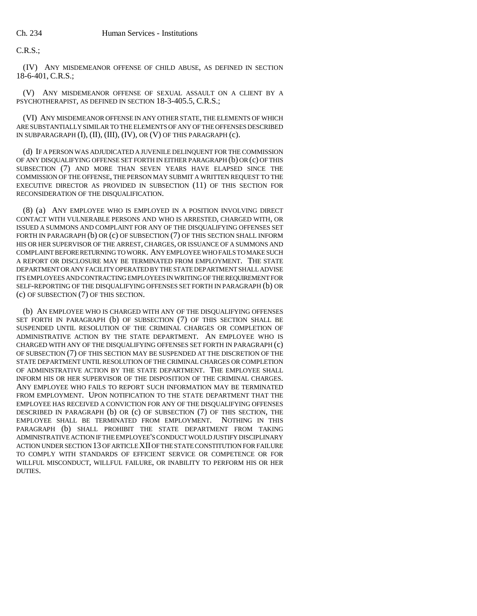C.R.S.;

(IV) ANY MISDEMEANOR OFFENSE OF CHILD ABUSE, AS DEFINED IN SECTION 18-6-401, C.R.S.;

(V) ANY MISDEMEANOR OFFENSE OF SEXUAL ASSAULT ON A CLIENT BY A PSYCHOTHERAPIST, AS DEFINED IN SECTION 18-3-405.5, C.R.S.;

(VI) ANY MISDEMEANOR OFFENSE IN ANY OTHER STATE, THE ELEMENTS OF WHICH ARE SUBSTANTIALLY SIMILAR TO THE ELEMENTS OF ANY OF THE OFFENSES DESCRIBED IN SUBPARAGRAPH  $(I)$ ,  $(II)$ ,  $(III)$ ,  $(IV)$ , OR  $(V)$  OF THIS PARAGRAPH  $(c)$ .

(d) IF A PERSON WAS ADJUDICATED A JUVENILE DELINQUENT FOR THE COMMISSION OF ANY DISQUALIFYING OFFENSE SET FORTH IN EITHER PARAGRAPH (b) OR (c) OF THIS SUBSECTION (7) AND MORE THAN SEVEN YEARS HAVE ELAPSED SINCE THE COMMISSION OF THE OFFENSE, THE PERSON MAY SUBMIT A WRITTEN REQUEST TO THE EXECUTIVE DIRECTOR AS PROVIDED IN SUBSECTION (11) OF THIS SECTION FOR RECONSIDERATION OF THE DISQUALIFICATION.

(8) (a) ANY EMPLOYEE WHO IS EMPLOYED IN A POSITION INVOLVING DIRECT CONTACT WITH VULNERABLE PERSONS AND WHO IS ARRESTED, CHARGED WITH, OR ISSUED A SUMMONS AND COMPLAINT FOR ANY OF THE DISQUALIFYING OFFENSES SET FORTH IN PARAGRAPH (b) OR (c) OF SUBSECTION (7) OF THIS SECTION SHALL INFORM HIS OR HER SUPERVISOR OF THE ARREST, CHARGES, OR ISSUANCE OF A SUMMONS AND COMPLAINT BEFORE RETURNING TO WORK. ANY EMPLOYEE WHO FAILS TO MAKE SUCH A REPORT OR DISCLOSURE MAY BE TERMINATED FROM EMPLOYMENT. THE STATE DEPARTMENT OR ANY FACILITY OPERATED BY THE STATE DEPARTMENT SHALL ADVISE ITS EMPLOYEES AND CONTRACTING EMPLOYEES IN WRITING OF THE REQUIREMENT FOR SELF-REPORTING OF THE DISQUALIFYING OFFENSES SET FORTH IN PARAGRAPH (b) OR (c) OF SUBSECTION (7) OF THIS SECTION.

(b) AN EMPLOYEE WHO IS CHARGED WITH ANY OF THE DISQUALIFYING OFFENSES SET FORTH IN PARAGRAPH (b) OF SUBSECTION (7) OF THIS SECTION SHALL BE SUSPENDED UNTIL RESOLUTION OF THE CRIMINAL CHARGES OR COMPLETION OF ADMINISTRATIVE ACTION BY THE STATE DEPARTMENT. AN EMPLOYEE WHO IS CHARGED WITH ANY OF THE DISQUALIFYING OFFENSES SET FORTH IN PARAGRAPH (c) OF SUBSECTION (7) OF THIS SECTION MAY BE SUSPENDED AT THE DISCRETION OF THE STATE DEPARTMENT UNTIL RESOLUTION OF THE CRIMINAL CHARGES OR COMPLETION OF ADMINISTRATIVE ACTION BY THE STATE DEPARTMENT. THE EMPLOYEE SHALL INFORM HIS OR HER SUPERVISOR OF THE DISPOSITION OF THE CRIMINAL CHARGES. ANY EMPLOYEE WHO FAILS TO REPORT SUCH INFORMATION MAY BE TERMINATED FROM EMPLOYMENT. UPON NOTIFICATION TO THE STATE DEPARTMENT THAT THE EMPLOYEE HAS RECEIVED A CONVICTION FOR ANY OF THE DISQUALIFYING OFFENSES DESCRIBED IN PARAGRAPH (b) OR (c) OF SUBSECTION (7) OF THIS SECTION, THE EMPLOYEE SHALL BE TERMINATED FROM EMPLOYMENT. NOTHING IN THIS PARAGRAPH (b) SHALL PROHIBIT THE STATE DEPARTMENT FROM TAKING ADMINISTRATIVE ACTION IF THE EMPLOYEE'S CONDUCT WOULD JUSTIFY DISCIPLINARY ACTION UNDER SECTION 13 OF ARTICLE XII OF THE STATE CONSTITUTION FOR FAILURE TO COMPLY WITH STANDARDS OF EFFICIENT SERVICE OR COMPETENCE OR FOR WILLFUL MISCONDUCT, WILLFUL FAILURE, OR INABILITY TO PERFORM HIS OR HER DUTIES.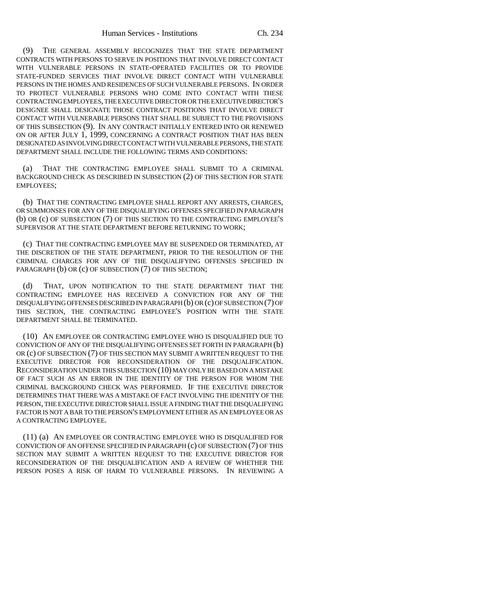(9) THE GENERAL ASSEMBLY RECOGNIZES THAT THE STATE DEPARTMENT CONTRACTS WITH PERSONS TO SERVE IN POSITIONS THAT INVOLVE DIRECT CONTACT WITH VULNERABLE PERSONS IN STATE-OPERATED FACILITIES OR TO PROVIDE STATE-FUNDED SERVICES THAT INVOLVE DIRECT CONTACT WITH VULNERABLE PERSONS IN THE HOMES AND RESIDENCES OF SUCH VULNERABLE PERSONS. IN ORDER TO PROTECT VULNERABLE PERSONS WHO COME INTO CONTACT WITH THESE CONTRACTING EMPLOYEES, THE EXECUTIVE DIRECTOR OR THE EXECUTIVE DIRECTOR'S DESIGNEE SHALL DESIGNATE THOSE CONTRACT POSITIONS THAT INVOLVE DIRECT CONTACT WITH VULNERABLE PERSONS THAT SHALL BE SUBJECT TO THE PROVISIONS OF THIS SUBSECTION (9). IN ANY CONTRACT INITIALLY ENTERED INTO OR RENEWED ON OR AFTER JULY 1, 1999, CONCERNING A CONTRACT POSITION THAT HAS BEEN DESIGNATED AS INVOLVING DIRECT CONTACT WITH VULNERABLE PERSONS, THE STATE DEPARTMENT SHALL INCLUDE THE FOLLOWING TERMS AND CONDITIONS:

(a) THAT THE CONTRACTING EMPLOYEE SHALL SUBMIT TO A CRIMINAL BACKGROUND CHECK AS DESCRIBED IN SUBSECTION (2) OF THIS SECTION FOR STATE EMPLOYEES;

(b) THAT THE CONTRACTING EMPLOYEE SHALL REPORT ANY ARRESTS, CHARGES, OR SUMMONSES FOR ANY OF THE DISQUALIFYING OFFENSES SPECIFIED IN PARAGRAPH (b) OR (c) OF SUBSECTION (7) OF THIS SECTION TO THE CONTRACTING EMPLOYEE'S SUPERVISOR AT THE STATE DEPARTMENT BEFORE RETURNING TO WORK;

(c) THAT THE CONTRACTING EMPLOYEE MAY BE SUSPENDED OR TERMINATED, AT THE DISCRETION OF THE STATE DEPARTMENT, PRIOR TO THE RESOLUTION OF THE CRIMINAL CHARGES FOR ANY OF THE DISQUALIFYING OFFENSES SPECIFIED IN PARAGRAPH (b) OR (c) OF SUBSECTION (7) OF THIS SECTION;

(d) THAT, UPON NOTIFICATION TO THE STATE DEPARTMENT THAT THE CONTRACTING EMPLOYEE HAS RECEIVED A CONVICTION FOR ANY OF THE DISQUALIFYING OFFENSES DESCRIBED IN PARAGRAPH (b) OR (c) OF SUBSECTION (7) OF THIS SECTION, THE CONTRACTING EMPLOYEE'S POSITION WITH THE STATE DEPARTMENT SHALL BE TERMINATED.

(10) AN EMPLOYEE OR CONTRACTING EMPLOYEE WHO IS DISQUALIFIED DUE TO CONVICTION OF ANY OF THE DISQUALIFYING OFFENSES SET FORTH IN PARAGRAPH (b) OR (c) OF SUBSECTION (7) OF THIS SECTION MAY SUBMIT A WRITTEN REQUEST TO THE EXECUTIVE DIRECTOR FOR RECONSIDERATION OF THE DISQUALIFICATION. RECONSIDERATION UNDER THIS SUBSECTION (10) MAY ONLY BE BASED ON A MISTAKE OF FACT SUCH AS AN ERROR IN THE IDENTITY OF THE PERSON FOR WHOM THE CRIMINAL BACKGROUND CHECK WAS PERFORMED. IF THE EXECUTIVE DIRECTOR DETERMINES THAT THERE WAS A MISTAKE OF FACT INVOLVING THE IDENTITY OF THE PERSON, THE EXECUTIVE DIRECTOR SHALL ISSUE A FINDING THAT THE DISQUALIFYING FACTOR IS NOT A BAR TO THE PERSON'S EMPLOYMENT EITHER AS AN EMPLOYEE OR AS A CONTRACTING EMPLOYEE.

(11) (a) AN EMPLOYEE OR CONTRACTING EMPLOYEE WHO IS DISQUALIFIED FOR CONVICTION OF AN OFFENSE SPECIFIED IN PARAGRAPH (c) OF SUBSECTION (7) OF THIS SECTION MAY SUBMIT A WRITTEN REQUEST TO THE EXECUTIVE DIRECTOR FOR RECONSIDERATION OF THE DISQUALIFICATION AND A REVIEW OF WHETHER THE PERSON POSES A RISK OF HARM TO VULNERABLE PERSONS. IN REVIEWING A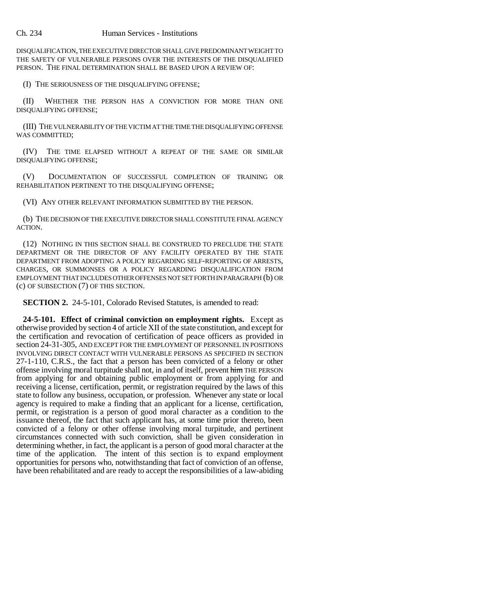## Ch. 234 Human Services - Institutions

DISQUALIFICATION, THE EXECUTIVE DIRECTOR SHALL GIVE PREDOMINANT WEIGHT TO THE SAFETY OF VULNERABLE PERSONS OVER THE INTERESTS OF THE DISQUALIFIED PERSON. THE FINAL DETERMINATION SHALL BE BASED UPON A REVIEW OF:

(I) THE SERIOUSNESS OF THE DISQUALIFYING OFFENSE;

(II) WHETHER THE PERSON HAS A CONVICTION FOR MORE THAN ONE DISQUALIFYING OFFENSE;

(III) THE VULNERABILITY OF THE VICTIM AT THE TIME THE DISQUALIFYING OFFENSE WAS COMMITTED;

(IV) THE TIME ELAPSED WITHOUT A REPEAT OF THE SAME OR SIMILAR DISQUALIFYING OFFENSE;

(V) DOCUMENTATION OF SUCCESSFUL COMPLETION OF TRAINING OR REHABILITATION PERTINENT TO THE DISOUALIFYING OFFENSE:

(VI) ANY OTHER RELEVANT INFORMATION SUBMITTED BY THE PERSON.

(b) THE DECISION OF THE EXECUTIVE DIRECTOR SHALL CONSTITUTE FINAL AGENCY ACTION.

(12) NOTHING IN THIS SECTION SHALL BE CONSTRUED TO PRECLUDE THE STATE DEPARTMENT OR THE DIRECTOR OF ANY FACILITY OPERATED BY THE STATE DEPARTMENT FROM ADOPTING A POLICY REGARDING SELF-REPORTING OF ARRESTS, CHARGES, OR SUMMONSES OR A POLICY REGARDING DISQUALIFICATION FROM EMPLOYMENT THAT INCLUDES OTHER OFFENSES NOT SET FORTH IN PARAGRAPH (b) OR (c) OF SUBSECTION (7) OF THIS SECTION.

**SECTION 2.** 24-5-101, Colorado Revised Statutes, is amended to read:

**24-5-101. Effect of criminal conviction on employment rights.** Except as otherwise provided by section 4 of article XII of the state constitution, and except for the certification and revocation of certification of peace officers as provided in section 24-31-305, AND EXCEPT FOR THE EMPLOYMENT OF PERSONNEL IN POSITIONS INVOLVING DIRECT CONTACT WITH VULNERABLE PERSONS AS SPECIFIED IN SECTION 27-1-110, C.R.S., the fact that a person has been convicted of a felony or other offense involving moral turpitude shall not, in and of itself, prevent him THE PERSON from applying for and obtaining public employment or from applying for and receiving a license, certification, permit, or registration required by the laws of this state to follow any business, occupation, or profession. Whenever any state or local agency is required to make a finding that an applicant for a license, certification, permit, or registration is a person of good moral character as a condition to the issuance thereof, the fact that such applicant has, at some time prior thereto, been convicted of a felony or other offense involving moral turpitude, and pertinent circumstances connected with such conviction, shall be given consideration in determining whether, in fact, the applicant is a person of good moral character at the time of the application. The intent of this section is to expand employment opportunities for persons who, notwithstanding that fact of conviction of an offense, have been rehabilitated and are ready to accept the responsibilities of a law-abiding